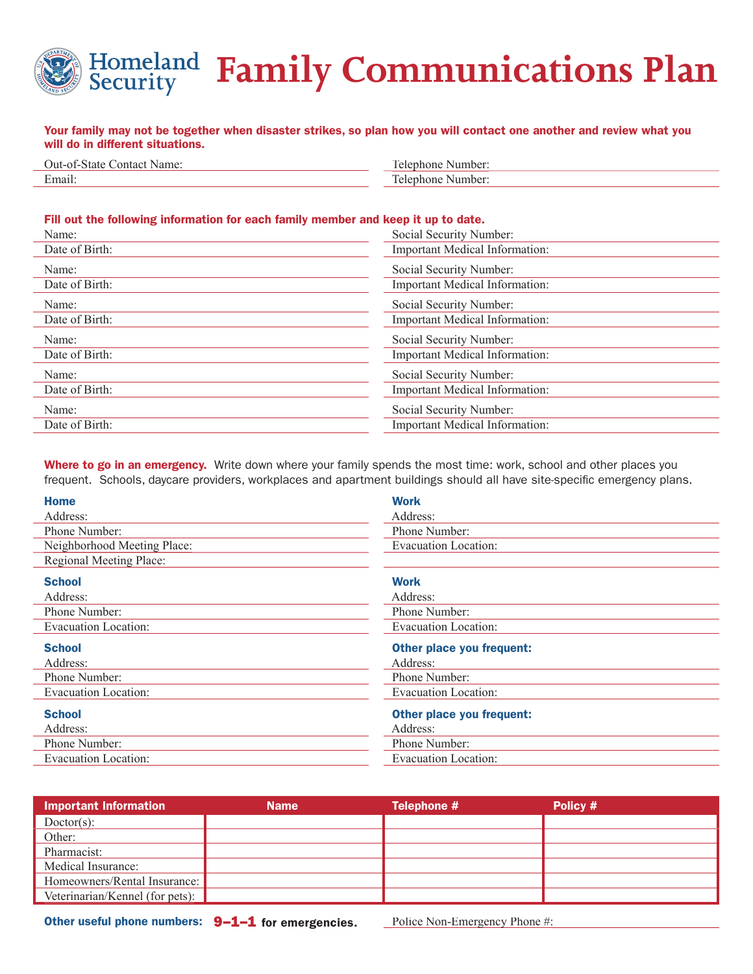

## **Family Communications Plan**

## Your family may not be together when disaster strikes, so plan how you will contact one another and review what you will do in different situations.

| ำา11-เ<br>ontact<br>of-State<br>Name | Number<br>ำh∩n≀<br>ില           |
|--------------------------------------|---------------------------------|
| Email.                               | Number<br>าh∩n≀<br>$\mathbf{A}$ |

## Fill out the following information for each family member and keep it up to date.

| Name:          | Social Security Number:               |  |
|----------------|---------------------------------------|--|
| Date of Birth: | Important Medical Information:        |  |
| Name:          | Social Security Number:               |  |
| Date of Birth: | <b>Important Medical Information:</b> |  |
| Name:          | Social Security Number:               |  |
| Date of Birth: | <b>Important Medical Information:</b> |  |
| Name:          | Social Security Number:               |  |
|                |                                       |  |
| Date of Birth: | <b>Important Medical Information:</b> |  |
| Name:          | Social Security Number:               |  |
| Date of Birth: | Important Medical Information:        |  |
| Name:          | Social Security Number:               |  |
| Date of Birth: | <b>Important Medical Information:</b> |  |

Where to go in an emergency. Write down where your family spends the most time: work, school and other places you frequent. Schools, daycare providers, workplaces and apartment buildings should all have site-specific emergency plans.

| <b>Work</b>                      |  |
|----------------------------------|--|
| Address:                         |  |
| Phone Number:                    |  |
| Evacuation Location:             |  |
|                                  |  |
| <b>Work</b>                      |  |
| Address:                         |  |
| Phone Number:                    |  |
| Evacuation Location:             |  |
| Other place you frequent:        |  |
| Address:                         |  |
| Phone Number:                    |  |
| Evacuation Location:             |  |
| <b>Other place you frequent:</b> |  |
| Address:                         |  |
| Phone Number:                    |  |
| Evacuation Location:             |  |
|                                  |  |

| <b>Important Information</b>    | <b>Name</b> | Telephone # | Policy # |
|---------------------------------|-------------|-------------|----------|
| $Dotor(s)$ :                    |             |             |          |
| Other:                          |             |             |          |
| Pharmacist:                     |             |             |          |
| Medical Insurance:              |             |             |          |
| Homeowners/Rental Insurance:    |             |             |          |
| Veterinarian/Kennel (for pets): |             |             |          |

Other useful phone numbers:  $9-1-1$  for emergencies. Police Non-Emergency Phone #: